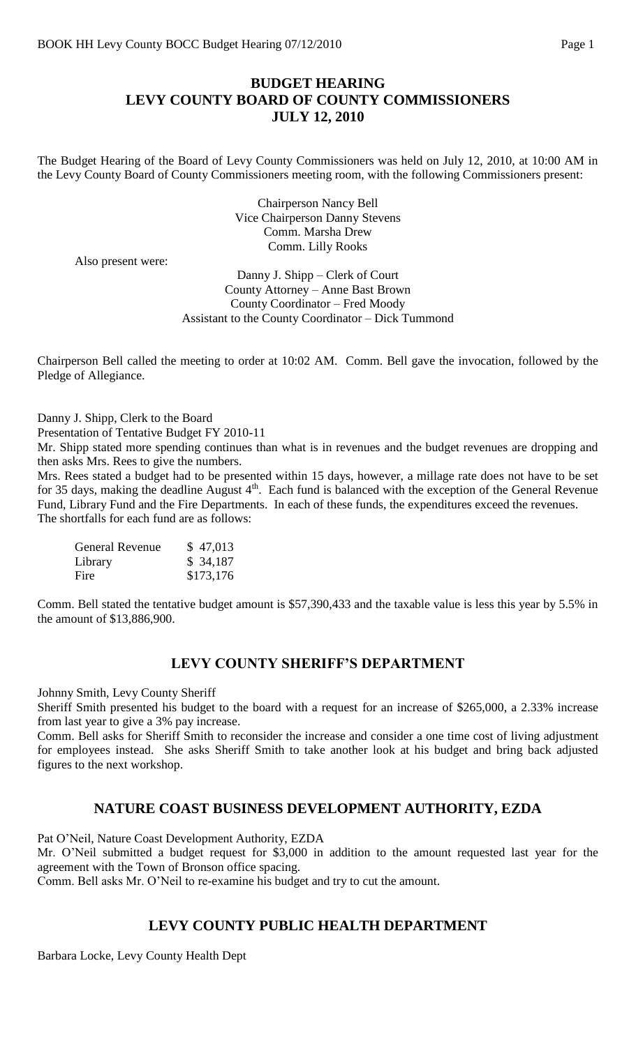## **BUDGET HEARING LEVY COUNTY BOARD OF COUNTY COMMISSIONERS JULY 12, 2010**

The Budget Hearing of the Board of Levy County Commissioners was held on July 12, 2010, at 10:00 AM in the Levy County Board of County Commissioners meeting room, with the following Commissioners present:

> Chairperson Nancy Bell Vice Chairperson Danny Stevens Comm. Marsha Drew Comm. Lilly Rooks

Also present were:

Danny J. Shipp – Clerk of Court County Attorney – Anne Bast Brown County Coordinator – Fred Moody Assistant to the County Coordinator – Dick Tummond

Chairperson Bell called the meeting to order at 10:02 AM. Comm. Bell gave the invocation, followed by the Pledge of Allegiance.

Danny J. Shipp, Clerk to the Board

Presentation of Tentative Budget FY 2010-11

Mr. Shipp stated more spending continues than what is in revenues and the budget revenues are dropping and then asks Mrs. Rees to give the numbers.

Mrs. Rees stated a budget had to be presented within 15 days, however, a millage rate does not have to be set for 35 days, making the deadline August  $4<sup>th</sup>$ . Each fund is balanced with the exception of the General Revenue Fund, Library Fund and the Fire Departments. In each of these funds, the expenditures exceed the revenues. The shortfalls for each fund are as follows:

| <b>General Revenue</b> | \$47,013  |
|------------------------|-----------|
| Library                | \$34,187  |
| Fire                   | \$173,176 |

Comm. Bell stated the tentative budget amount is \$57,390,433 and the taxable value is less this year by 5.5% in the amount of \$13,886,900.

#### **LEVY COUNTY SHERIFF'S DEPARTMENT**

Johnny Smith, Levy County Sheriff

Sheriff Smith presented his budget to the board with a request for an increase of \$265,000, a 2.33% increase from last year to give a 3% pay increase.

Comm. Bell asks for Sheriff Smith to reconsider the increase and consider a one time cost of living adjustment for employees instead. She asks Sheriff Smith to take another look at his budget and bring back adjusted figures to the next workshop.

### **NATURE COAST BUSINESS DEVELOPMENT AUTHORITY, EZDA**

Pat O'Neil, Nature Coast Development Authority, EZDA

Mr. O'Neil submitted a budget request for \$3,000 in addition to the amount requested last year for the agreement with the Town of Bronson office spacing.

Comm. Bell asks Mr. O'Neil to re-examine his budget and try to cut the amount.

### **LEVY COUNTY PUBLIC HEALTH DEPARTMENT**

Barbara Locke, Levy County Health Dept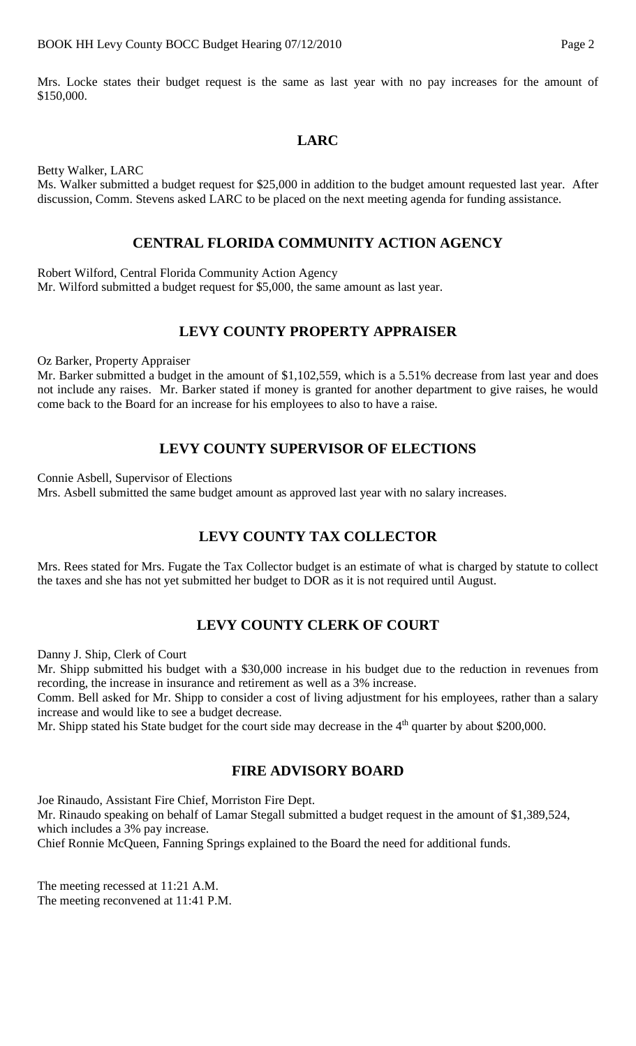Mrs. Locke states their budget request is the same as last year with no pay increases for the amount of \$150,000.

## **LARC**

Betty Walker, LARC

Ms. Walker submitted a budget request for \$25,000 in addition to the budget amount requested last year. After discussion, Comm. Stevens asked LARC to be placed on the next meeting agenda for funding assistance.

#### **CENTRAL FLORIDA COMMUNITY ACTION AGENCY**

Robert Wilford, Central Florida Community Action Agency Mr. Wilford submitted a budget request for \$5,000, the same amount as last year.

## **LEVY COUNTY PROPERTY APPRAISER**

Oz Barker, Property Appraiser

Mr. Barker submitted a budget in the amount of \$1,102,559, which is a 5.51% decrease from last year and does not include any raises. Mr. Barker stated if money is granted for another department to give raises, he would come back to the Board for an increase for his employees to also to have a raise.

## **LEVY COUNTY SUPERVISOR OF ELECTIONS**

Connie Asbell, Supervisor of Elections

Mrs. Asbell submitted the same budget amount as approved last year with no salary increases.

# **LEVY COUNTY TAX COLLECTOR**

Mrs. Rees stated for Mrs. Fugate the Tax Collector budget is an estimate of what is charged by statute to collect the taxes and she has not yet submitted her budget to DOR as it is not required until August.

### **LEVY COUNTY CLERK OF COURT**

Danny J. Ship, Clerk of Court

Mr. Shipp submitted his budget with a \$30,000 increase in his budget due to the reduction in revenues from recording, the increase in insurance and retirement as well as a 3% increase.

Comm. Bell asked for Mr. Shipp to consider a cost of living adjustment for his employees, rather than a salary increase and would like to see a budget decrease.

Mr. Shipp stated his State budget for the court side may decrease in the 4<sup>th</sup> quarter by about \$200,000.

# **FIRE ADVISORY BOARD**

Joe Rinaudo, Assistant Fire Chief, Morriston Fire Dept.

Mr. Rinaudo speaking on behalf of Lamar Stegall submitted a budget request in the amount of \$1,389,524, which includes a 3% pay increase.

Chief Ronnie McQueen, Fanning Springs explained to the Board the need for additional funds.

The meeting recessed at 11:21 A.M. The meeting reconvened at 11:41 P.M.